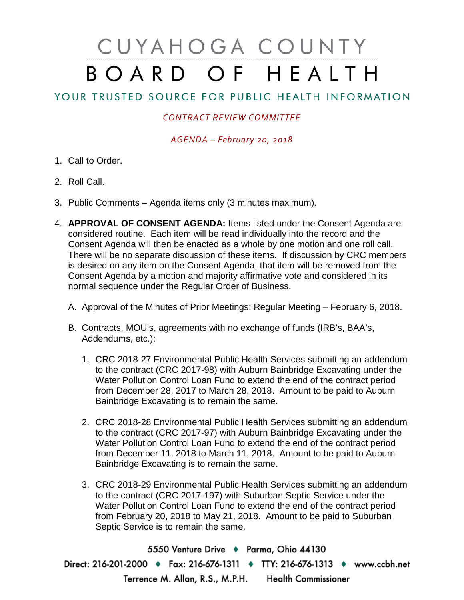## CUYAHOGA COUNTY BOARD OF HEALTH

## YOUR TRUSTED SOURCE FOR PUBLIC HEALTH INFORMATION

## *CONTRACT REVIEW COMMITTEE*

*AGENDA – February 20, 2018*

- 1. Call to Order.
- 2. Roll Call.
- 3. Public Comments Agenda items only (3 minutes maximum).
- 4. **APPROVAL OF CONSENT AGENDA:** Items listed under the Consent Agenda are considered routine. Each item will be read individually into the record and the Consent Agenda will then be enacted as a whole by one motion and one roll call. There will be no separate discussion of these items. If discussion by CRC members is desired on any item on the Consent Agenda, that item will be removed from the Consent Agenda by a motion and majority affirmative vote and considered in its normal sequence under the Regular Order of Business.
	- A. Approval of the Minutes of Prior Meetings: Regular Meeting February 6, 2018.
	- B. Contracts, MOU's, agreements with no exchange of funds (IRB's, BAA's, Addendums, etc.):
		- 1. CRC 2018-27 Environmental Public Health Services submitting an addendum to the contract (CRC 2017-98) with Auburn Bainbridge Excavating under the Water Pollution Control Loan Fund to extend the end of the contract period from December 28, 2017 to March 28, 2018. Amount to be paid to Auburn Bainbridge Excavating is to remain the same.
		- 2. CRC 2018-28 Environmental Public Health Services submitting an addendum to the contract (CRC 2017-97) with Auburn Bainbridge Excavating under the Water Pollution Control Loan Fund to extend the end of the contract period from December 11, 2018 to March 11, 2018. Amount to be paid to Auburn Bainbridge Excavating is to remain the same.
		- 3. CRC 2018-29 Environmental Public Health Services submitting an addendum to the contract (CRC 2017-197) with Suburban Septic Service under the Water Pollution Control Loan Fund to extend the end of the contract period from February 20, 2018 to May 21, 2018. Amount to be paid to Suburban Septic Service is to remain the same.

5550 Venture Drive + Parma, Ohio 44130 Direct: 216-201-2000 • Fax: 216-676-1311 • TTY: 216-676-1313 • www.ccbh.net Terrence M. Allan, R.S., M.P.H. Health Commissioner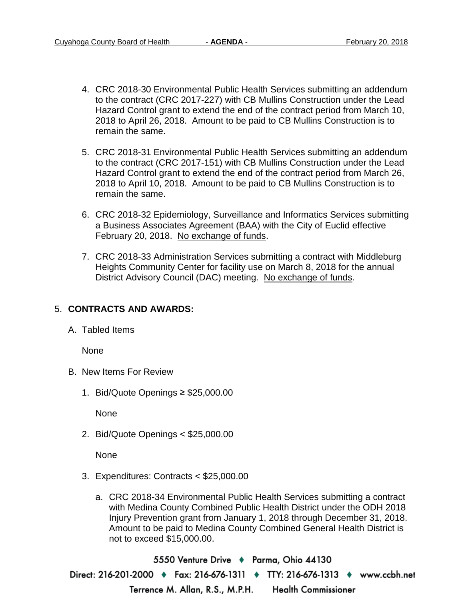- 4. CRC 2018-30 Environmental Public Health Services submitting an addendum to the contract (CRC 2017-227) with CB Mullins Construction under the Lead Hazard Control grant to extend the end of the contract period from March 10, 2018 to April 26, 2018. Amount to be paid to CB Mullins Construction is to remain the same.
- 5. CRC 2018-31 Environmental Public Health Services submitting an addendum to the contract (CRC 2017-151) with CB Mullins Construction under the Lead Hazard Control grant to extend the end of the contract period from March 26, 2018 to April 10, 2018. Amount to be paid to CB Mullins Construction is to remain the same.
- 6. CRC 2018-32 Epidemiology, Surveillance and Informatics Services submitting a Business Associates Agreement (BAA) with the City of Euclid effective February 20, 2018. No exchange of funds.
- 7. CRC 2018-33 Administration Services submitting a contract with Middleburg Heights Community Center for facility use on March 8, 2018 for the annual District Advisory Council (DAC) meeting. No exchange of funds.

## 5. **CONTRACTS AND AWARDS:**

A. Tabled Items

None

- B. New Items For Review
	- 1. Bid/Quote Openings ≥ \$25,000.00

None

2. Bid/Quote Openings < \$25,000.00

None

- 3. Expenditures: Contracts < \$25,000.00
	- a. CRC 2018-34 Environmental Public Health Services submitting a contract with Medina County Combined Public Health District under the ODH 2018 Injury Prevention grant from January 1, 2018 through December 31, 2018. Amount to be paid to Medina County Combined General Health District is not to exceed \$15,000.00.

5550 Venture Drive + Parma, Ohio 44130 Direct: 216-201-2000 • Fax: 216-676-1311 • TTY: 216-676-1313 • www.ccbh.net **Health Commissioner** Terrence M. Allan, R.S., M.P.H.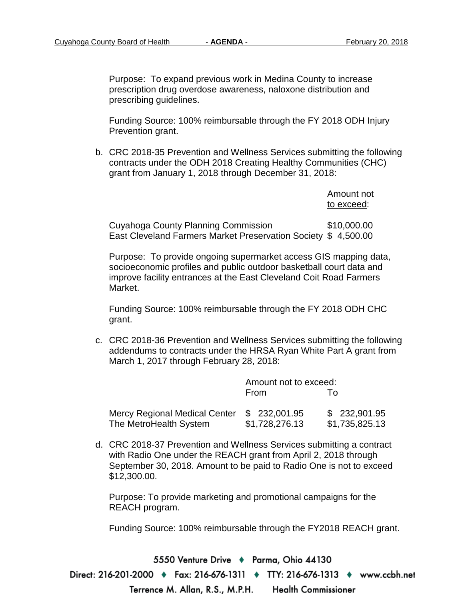Purpose: To expand previous work in Medina County to increase prescription drug overdose awareness, naloxone distribution and prescribing guidelines.

Funding Source: 100% reimbursable through the FY 2018 ODH Injury Prevention grant.

b. CRC 2018-35 Prevention and Wellness Services submitting the following contracts under the ODH 2018 Creating Healthy Communities (CHC) grant from January 1, 2018 through December 31, 2018:

|                                                               | Amount not<br>to exceed: |
|---------------------------------------------------------------|--------------------------|
| Cuyahoga County Planning Commission                           | \$10,000,00              |
| East Cleveland Farmers Market Preservation Society \$4,500.00 |                          |

Purpose: To provide ongoing supermarket access GIS mapping data, socioeconomic profiles and public outdoor basketball court data and improve facility entrances at the East Cleveland Coit Road Farmers Market.

Funding Source: 100% reimbursable through the FY 2018 ODH CHC grant.

c. CRC 2018-36 Prevention and Wellness Services submitting the following addendums to contracts under the HRSA Ryan White Part A grant from March 1, 2017 through February 28, 2018:

|                                                         | Amount not to exceed:           |                                |
|---------------------------------------------------------|---------------------------------|--------------------------------|
|                                                         | From                            | 10                             |
| Mercy Regional Medical Center<br>The MetroHealth System | \$ 232,001.95<br>\$1,728,276.13 | \$232,901.95<br>\$1,735,825.13 |

d. CRC 2018-37 Prevention and Wellness Services submitting a contract with Radio One under the REACH grant from April 2, 2018 through September 30, 2018. Amount to be paid to Radio One is not to exceed \$12,300.00.

Purpose: To provide marketing and promotional campaigns for the REACH program.

Funding Source: 100% reimbursable through the FY2018 REACH grant.

5550 Venture Drive + Parma, Ohio 44130 Direct: 216-201-2000 • Fax: 216-676-1311 • TTY: 216-676-1313 • www.ccbh.net **Health Commissioner** Terrence M. Allan, R.S., M.P.H.